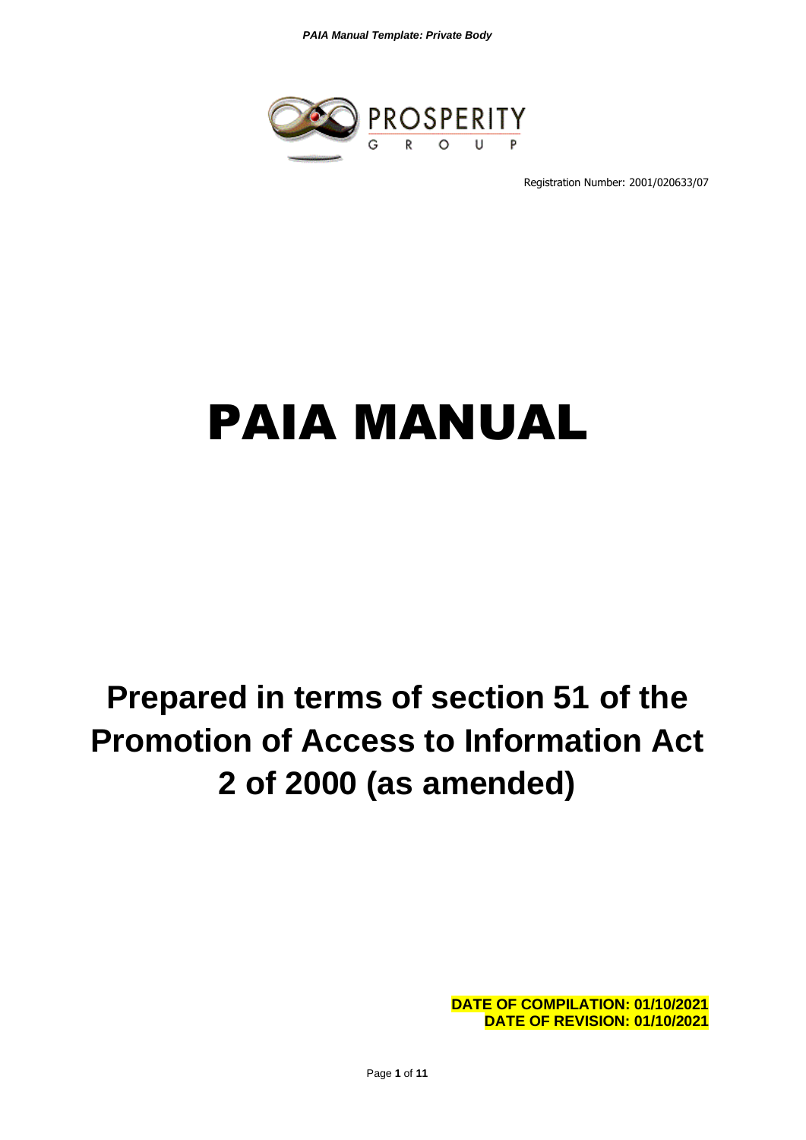*PAIA Manual Template: Private Body*



Registration Number: 2001/020633/07

# PAIA MANUAL

# **Prepared in terms of section 51 of the Promotion of Access to Information Act 2 of 2000 (as amended)**

**DATE OF COMPILATION: 01/10/2021 DATE OF REVISION: 01/10/2021**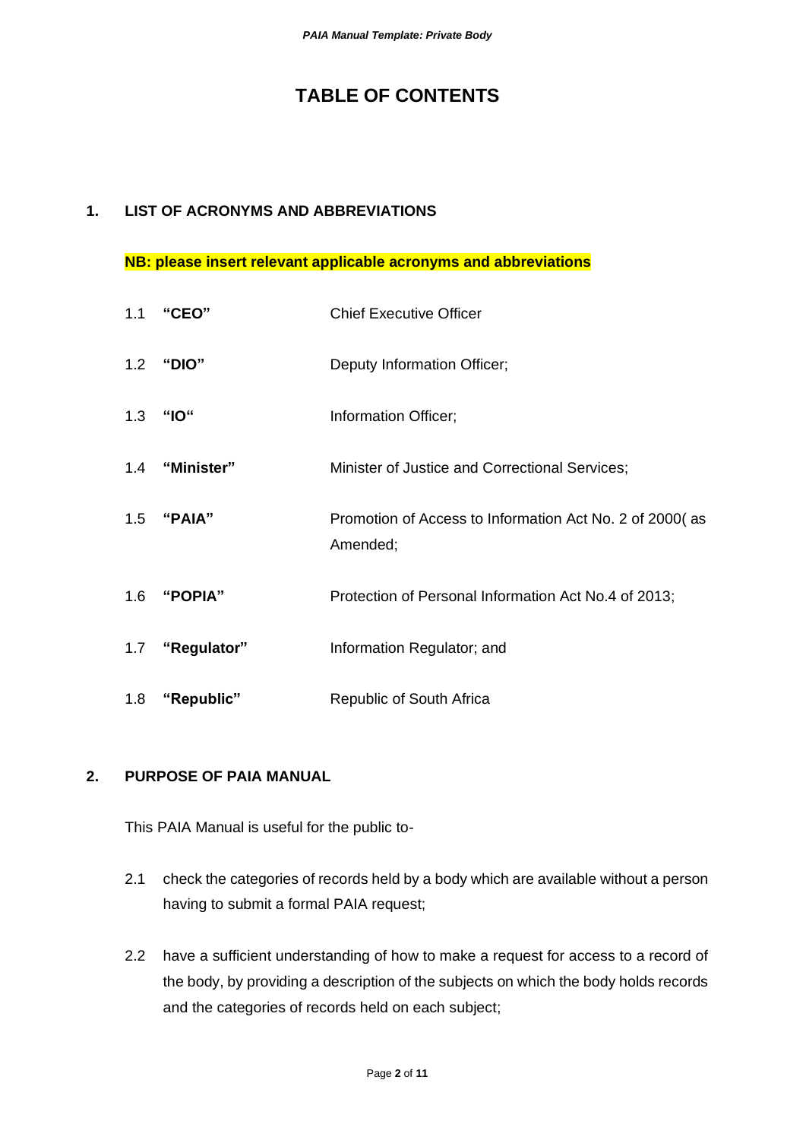# **TABLE OF CONTENTS**

### **1. LIST OF ACRONYMS AND ABBREVIATIONS**

#### **NB: please insert relevant applicable acronyms and abbreviations**

|     | 1.1 "CEO"       | <b>Chief Executive Officer</b>                                      |
|-----|-----------------|---------------------------------------------------------------------|
|     | 1.2 "DIO"       | Deputy Information Officer;                                         |
| 1.3 | "IO"            | Information Officer;                                                |
|     | 1.4 "Minister"  | Minister of Justice and Correctional Services;                      |
|     | 1.5 "PAIA"      | Promotion of Access to Information Act No. 2 of 2000(as<br>Amended; |
|     | 1.6 "POPIA"     | Protection of Personal Information Act No.4 of 2013;                |
|     | 1.7 "Regulator" | Information Regulator; and                                          |
| 1.8 | "Republic"      | Republic of South Africa                                            |

### **2. PURPOSE OF PAIA MANUAL**

This PAIA Manual is useful for the public to-

- 2.1 check the categories of records held by a body which are available without a person having to submit a formal PAIA request;
- 2.2 have a sufficient understanding of how to make a request for access to a record of the body, by providing a description of the subjects on which the body holds records and the categories of records held on each subject;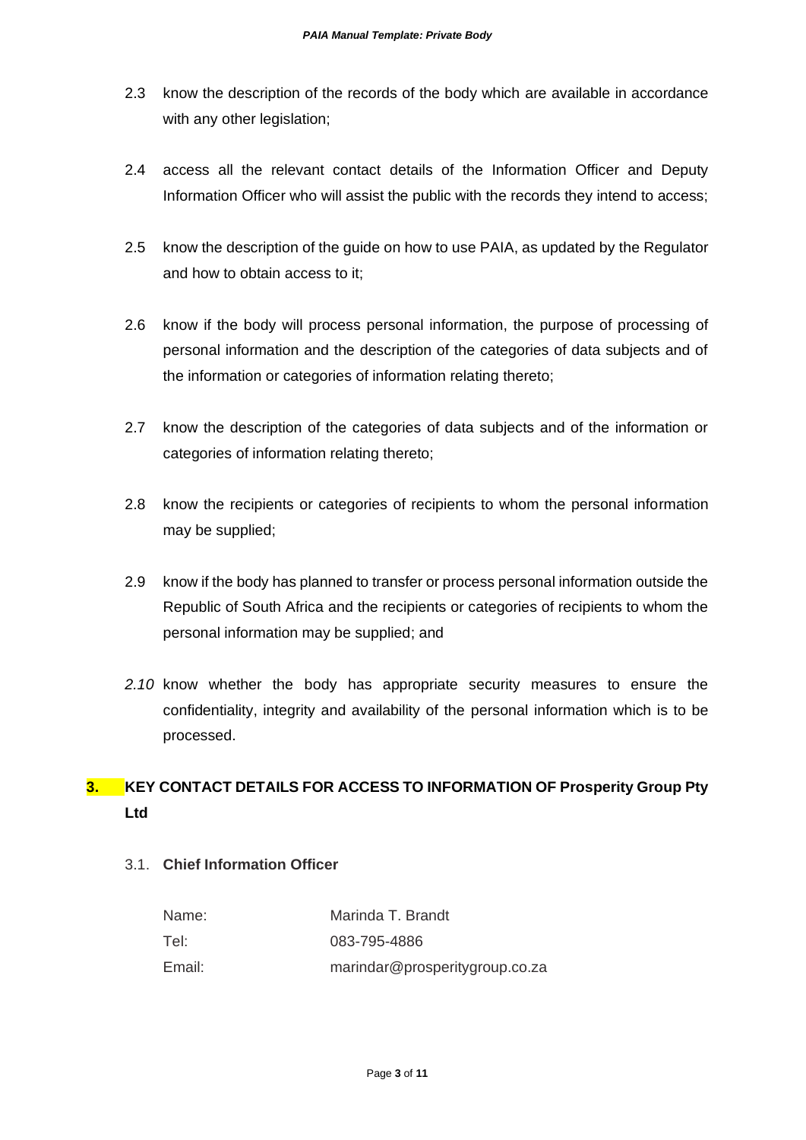- 2.3 know the description of the records of the body which are available in accordance with any other legislation;
- 2.4 access all the relevant contact details of the Information Officer and Deputy Information Officer who will assist the public with the records they intend to access;
- 2.5 know the description of the guide on how to use PAIA, as updated by the Regulator and how to obtain access to it;
- 2.6 know if the body will process personal information, the purpose of processing of personal information and the description of the categories of data subjects and of the information or categories of information relating thereto;
- 2.7 know the description of the categories of data subjects and of the information or categories of information relating thereto;
- 2.8 know the recipients or categories of recipients to whom the personal information may be supplied;
- 2.9 know if the body has planned to transfer or process personal information outside the Republic of South Africa and the recipients or categories of recipients to whom the personal information may be supplied; and
- *2.10* know whether the body has appropriate security measures to ensure the confidentiality, integrity and availability of the personal information which is to be processed.

# **3. KEY CONTACT DETAILS FOR ACCESS TO INFORMATION OF Prosperity Group Pty Ltd**

3.1. **Chief Information Officer**

| Name:  | Marinda T. Brandt              |
|--------|--------------------------------|
| Tel:   | 083-795-4886                   |
| Email: | marindar@prosperitygroup.co.za |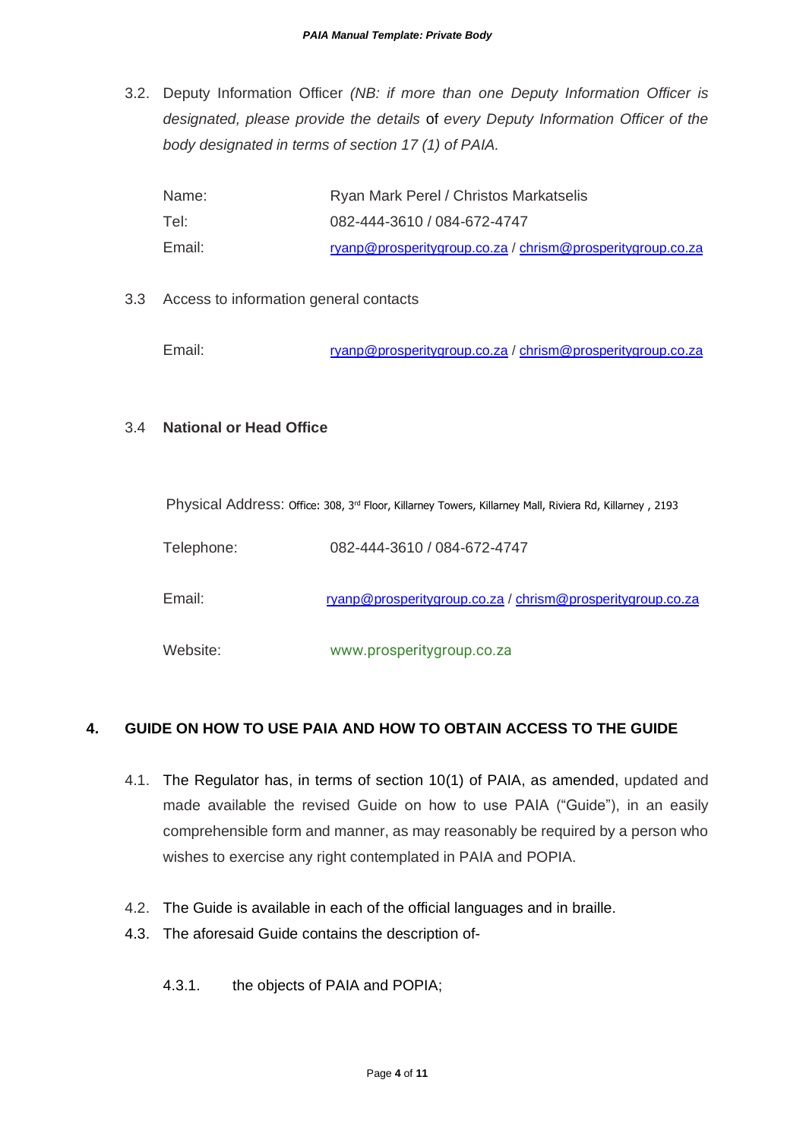3.2. Deputy Information Officer *(NB: if more than one Deputy Information Officer is designated, please provide the details* of *every Deputy Information Officer of the body designated in terms of section 17 (1) of PAIA.*

| Name:  | Ryan Mark Perel / Christos Markatselis                            |
|--------|-------------------------------------------------------------------|
| Tel:   | 082-444-3610 / 084-672-4747                                       |
| Email: | <u>ryanp@prosperitygroup.co.za / chrism@prosperitygroup.co.za</u> |

3.3 Access to information general contacts

Email: [ryanp@prosperitygroup.co.za](mailto:ryanp@prosperitygroup.co.za) / [chrism@prosperitygroup.co.za](mailto:chrism@prosperitygroup.co.za)

#### 3.4 **National or Head Office**

Physical Address: Office: 308, 3<sup>rd</sup> Floor, Killarney Towers, Killarney Mall, Riviera Rd, Killarney, 2193

Telephone: 082-444-3610 / 084-672-4747

Email: [ryanp@prosperitygroup.co.za](mailto:ryanp@prosperitygroup.co.za) [/ chrism@prosperitygroup.co.za](mailto:chrism@prosperitygroup.co.za)

Website: www.prosperitygroup.co.za

# **4. GUIDE ON HOW TO USE PAIA AND HOW TO OBTAIN ACCESS TO THE GUIDE**

- 4.1. The Regulator has, in terms of section 10(1) of PAIA, as amended, updated and made available the revised Guide on how to use PAIA ("Guide"), in an easily comprehensible form and manner, as may reasonably be required by a person who wishes to exercise any right contemplated in PAIA and POPIA.
- 4.2. The Guide is available in each of the official languages and in braille.
- 4.3. The aforesaid Guide contains the description of-
	- 4.3.1. the objects of PAIA and POPIA;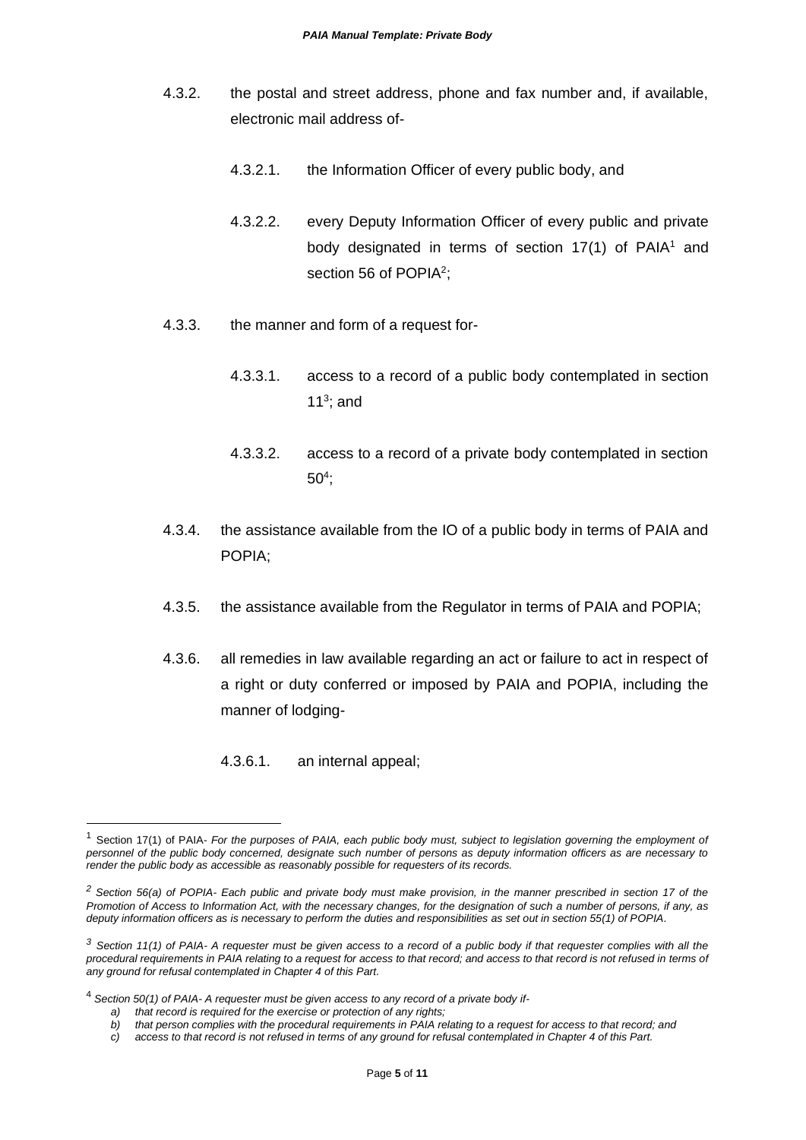- 4.3.2. the postal and street address, phone and fax number and, if available, electronic mail address of-
	- 4.3.2.1. the Information Officer of every public body, and
	- 4.3.2.2. every Deputy Information Officer of every public and private body designated in terms of section  $17(1)$  of PAIA<sup>1</sup> and section 56 of POPIA<sup>2</sup>;
- 4.3.3. the manner and form of a request for-
	- 4.3.3.1. access to a record of a public body contemplated in section 11 $3$ ; and
	- 4.3.3.2. access to a record of a private body contemplated in section  $50<sup>4</sup>$ ;
- 4.3.4. the assistance available from the IO of a public body in terms of PAIA and POPIA;
- 4.3.5. the assistance available from the Regulator in terms of PAIA and POPIA;
- 4.3.6. all remedies in law available regarding an act or failure to act in respect of a right or duty conferred or imposed by PAIA and POPIA, including the manner of lodging-
	- 4.3.6.1. an internal appeal;

<sup>1</sup> Section 17(1) of PAIA- *For the purposes of PAIA, each public body must, subject to legislation governing the employment of personnel of the public body concerned, designate such number of persons as deputy information officers as are necessary to render the public body as accessible as reasonably possible for requesters of its records.*

*<sup>2</sup> Section 56(a) of POPIA- Each public and private body must make provision, in the manner prescribed in section 17 of the Promotion of Access to Information Act, with the necessary changes, for the designation of such a number of persons, if any, as deputy information officers as is necessary to perform the duties and responsibilities as set out in section 55(1) of POPIA.*

*<sup>3</sup> Section 11(1) of PAIA- A requester must be given access to a record of a public body if that requester complies with all the*  procedural requirements in PAIA relating to a request for access to that record; and access to that record is not refused in terms of *any ground for refusal contemplated in Chapter 4 of this Part.*

<sup>4</sup> *Section 50(1) of PAIA- A requester must be given access to any record of a private body if-*

*a) that record is required for the exercise or protection of any rights;*

*b) that person complies with the procedural requirements in PAIA relating to a request for access to that record; and*

*c) access to that record is not refused in terms of any ground for refusal contemplated in Chapter 4 of this Part.*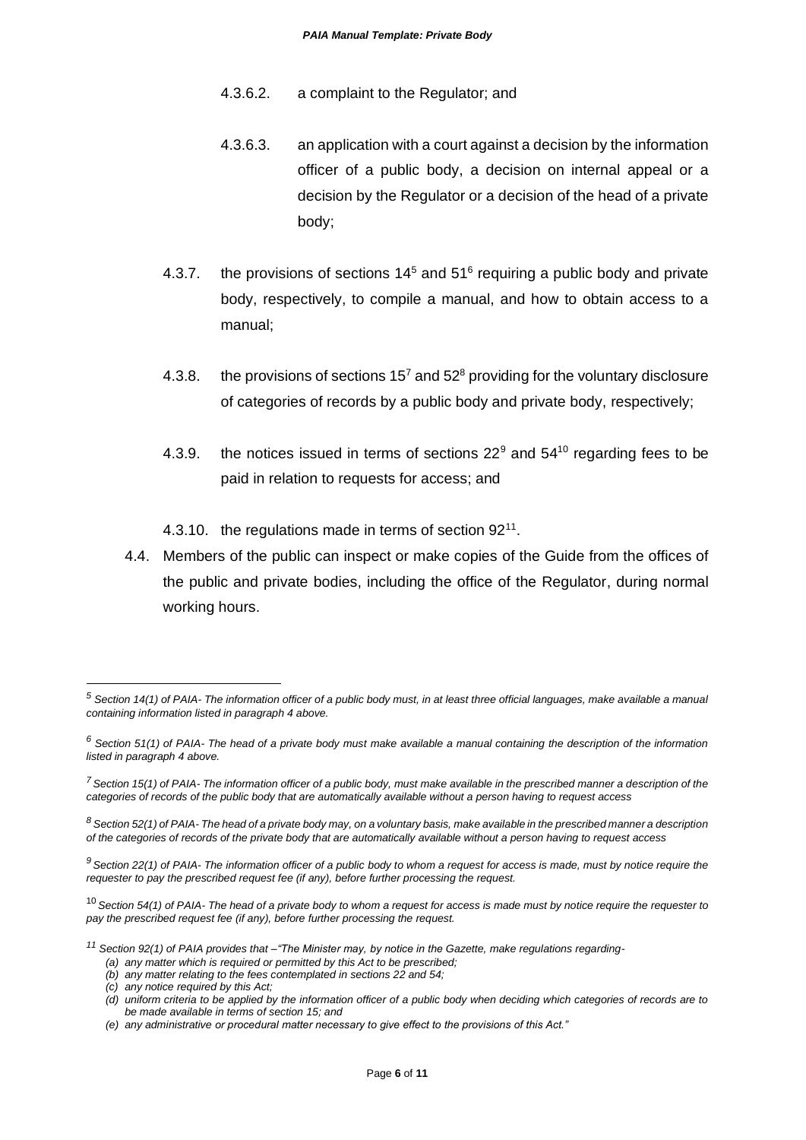- 4.3.6.2. a complaint to the Regulator; and
- 4.3.6.3. an application with a court against a decision by the information officer of a public body, a decision on internal appeal or a decision by the Regulator or a decision of the head of a private body;
- 4.3.7. the provisions of sections  $14<sup>5</sup>$  and  $51<sup>6</sup>$  requiring a public body and private body, respectively, to compile a manual, and how to obtain access to a manual;
- 4.3.8. the provisions of sections  $15<sup>7</sup>$  and  $52<sup>8</sup>$  providing for the voluntary disclosure of categories of records by a public body and private body, respectively;
- 4.3.9. the notices issued in terms of sections  $22^9$  and  $54^{10}$  regarding fees to be paid in relation to requests for access; and
- 4.3.10. the regulations made in terms of section 92<sup>11</sup>.
- 4.4. Members of the public can inspect or make copies of the Guide from the offices of the public and private bodies, including the office of the Regulator, during normal working hours.

*(c) any notice required by this Act;*

*<sup>5</sup> Section 14(1) of PAIA- The information officer of a public body must, in at least three official languages, make available a manual containing information listed in paragraph 4 above.*

*<sup>6</sup> Section 51(1) of PAIA- The head of a private body must make available a manual containing the description of the information listed in paragraph 4 above.*

*<sup>7</sup>Section 15(1) of PAIA- The information officer of a public body, must make available in the prescribed manner a description of the categories of records of the public body that are automatically available without a person having to request access*

*<sup>8</sup> Section 52(1) of PAIA- The head of a private body may, on a voluntary basis, make available in the prescribed manner a description of the categories of records of the private body that are automatically available without a person having to request access*

*<sup>9</sup>Section 22(1) of PAIA- The information officer of a public body to whom a request for access is made, must by notice require the requester to pay the prescribed request fee (if any), before further processing the request.*

<sup>10</sup>*Section 54(1) of PAIA- The head of a private body to whom a request for access is made must by notice require the requester to pay the prescribed request fee (if any), before further processing the request.*

*<sup>11</sup> Section 92(1) of PAIA provides that –"The Minister may, by notice in the Gazette, make regulations regarding-*

*<sup>(</sup>a) any matter which is required or permitted by this Act to be prescribed;*

*<sup>(</sup>b) any matter relating to the fees contemplated in sections 22 and 54;*

*<sup>(</sup>d) uniform criteria to be applied by the information officer of a public body when deciding which categories of records are to be made available in terms of section 15; and*

*<sup>(</sup>e) any administrative or procedural matter necessary to give effect to the provisions of this Act."*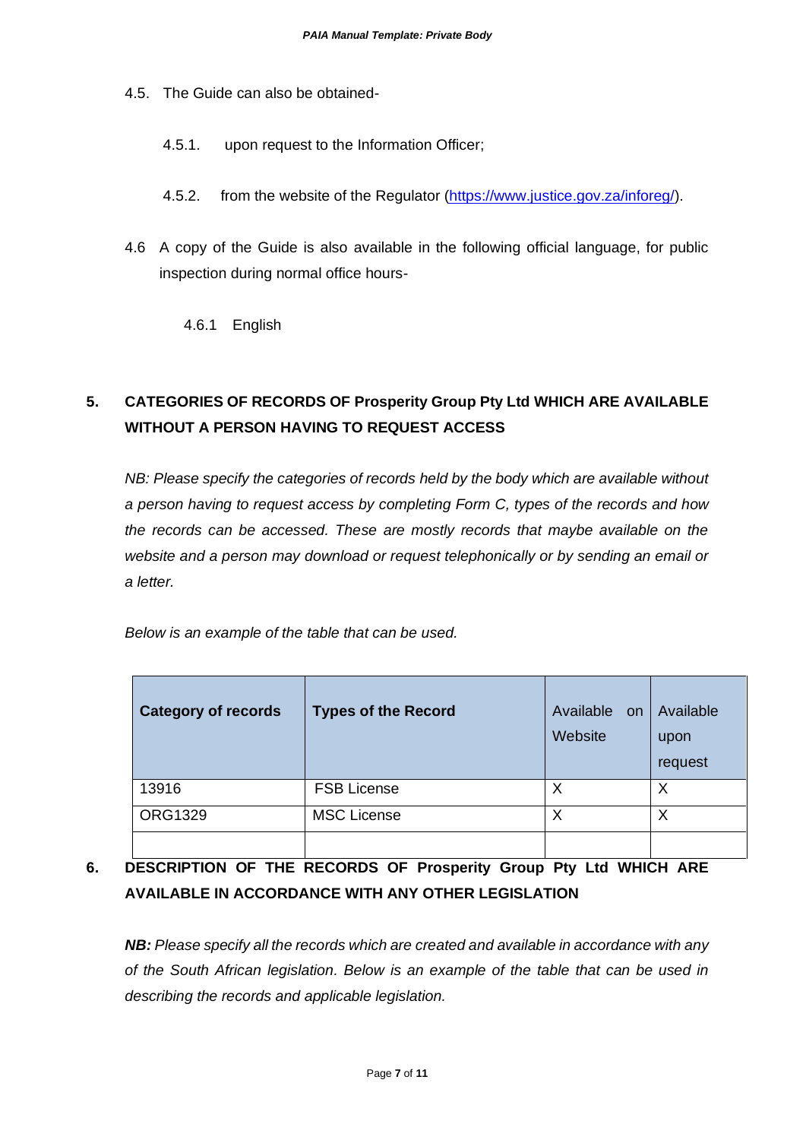- 4.5. The Guide can also be obtained-
	- 4.5.1. upon request to the Information Officer;
	- 4.5.2. from the website of the Regulator [\(https://www.justice.gov.za/inforeg/\)](https://www.justice.gov.za/inforeg/).
- 4.6 A copy of the Guide is also available in the following official language, for public inspection during normal office hours-

4.6.1 English

# **5. CATEGORIES OF RECORDS OF Prosperity Group Pty Ltd WHICH ARE AVAILABLE WITHOUT A PERSON HAVING TO REQUEST ACCESS**

*NB: Please specify the categories of records held by the body which are available without a person having to request access by completing Form C, types of the records and how the records can be accessed. These are mostly records that maybe available on the website and a person may download or request telephonically or by sending an email or a letter.* 

|  | Below is an example of the table that can be used. |
|--|----------------------------------------------------|
|--|----------------------------------------------------|

| <b>Category of records</b> | <b>Types of the Record</b> | Available on<br>Website | Available<br>upon<br>request |
|----------------------------|----------------------------|-------------------------|------------------------------|
| 13916                      | <b>FSB License</b>         | Χ                       | Χ                            |
| <b>ORG1329</b>             | <b>MSC License</b>         | Χ                       | Х                            |
|                            |                            |                         |                              |

# **6. DESCRIPTION OF THE RECORDS OF Prosperity Group Pty Ltd WHICH ARE AVAILABLE IN ACCORDANCE WITH ANY OTHER LEGISLATION**

*NB: Please specify all the records which are created and available in accordance with any of the South African legislation. Below is an example of the table that can be used in describing the records and applicable legislation.*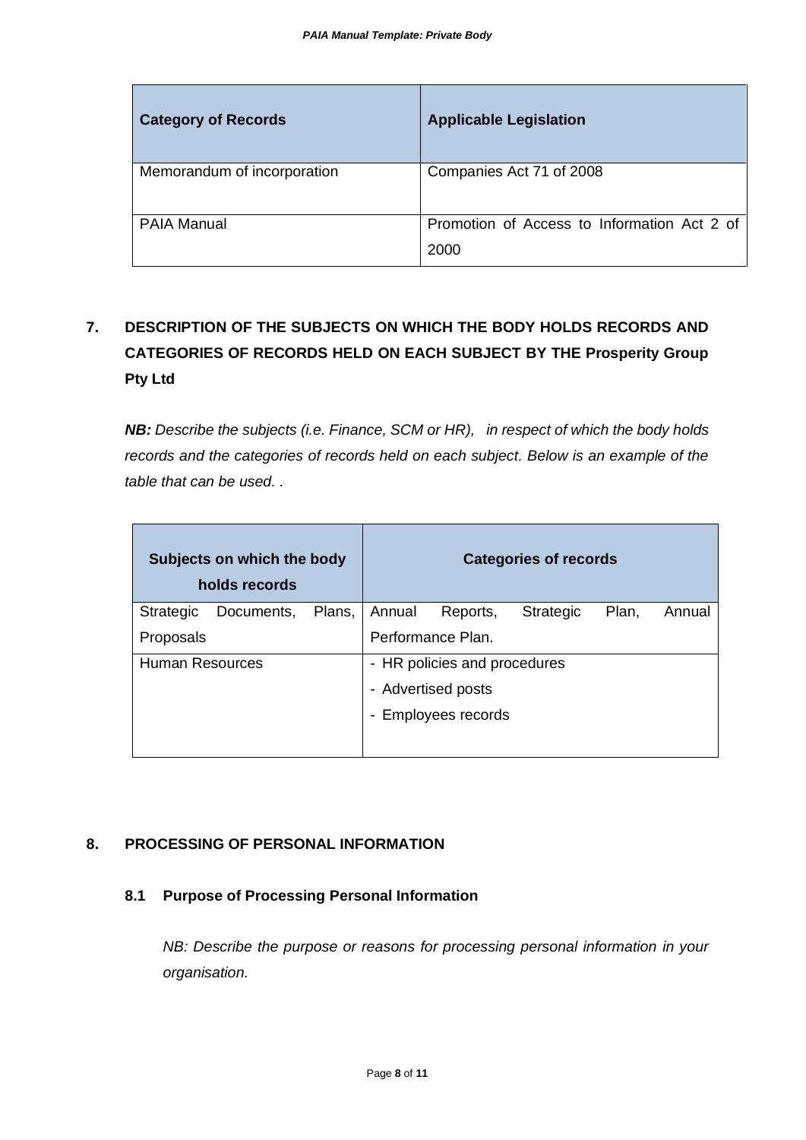| <b>Category of Records</b>  | <b>Applicable Legislation</b>                       |
|-----------------------------|-----------------------------------------------------|
| Memorandum of incorporation | Companies Act 71 of 2008                            |
| <b>PAIA Manual</b>          | Promotion of Access to Information Act 2 of<br>2000 |

# **7. DESCRIPTION OF THE SUBJECTS ON WHICH THE BODY HOLDS RECORDS AND CATEGORIES OF RECORDS HELD ON EACH SUBJECT BY THE Prosperity Group Pty Ltd**

*NB: Describe the subjects (i.e. Finance, SCM or HR), in respect of which the body holds records and the categories of records held on each subject. Below is an example of the table that can be used. .*

| Subjects on which the body<br>holds records |            |        |        |                              | <b>Categories of records</b> |       |        |
|---------------------------------------------|------------|--------|--------|------------------------------|------------------------------|-------|--------|
| <b>Strategic</b>                            | Documents, | Plans, | Annual | Reports,                     | <b>Strategic</b>             | Plan, | Annual |
| Proposals                                   |            |        |        | Performance Plan.            |                              |       |        |
| Human Resources                             |            |        |        | - HR policies and procedures |                              |       |        |
|                                             |            |        |        | - Advertised posts           |                              |       |        |
|                                             |            |        |        | - Employees records          |                              |       |        |
|                                             |            |        |        |                              |                              |       |        |

# **8. PROCESSING OF PERSONAL INFORMATION**

#### **8.1 Purpose of Processing Personal Information**

*NB: Describe the purpose or reasons for processing personal information in your organisation.*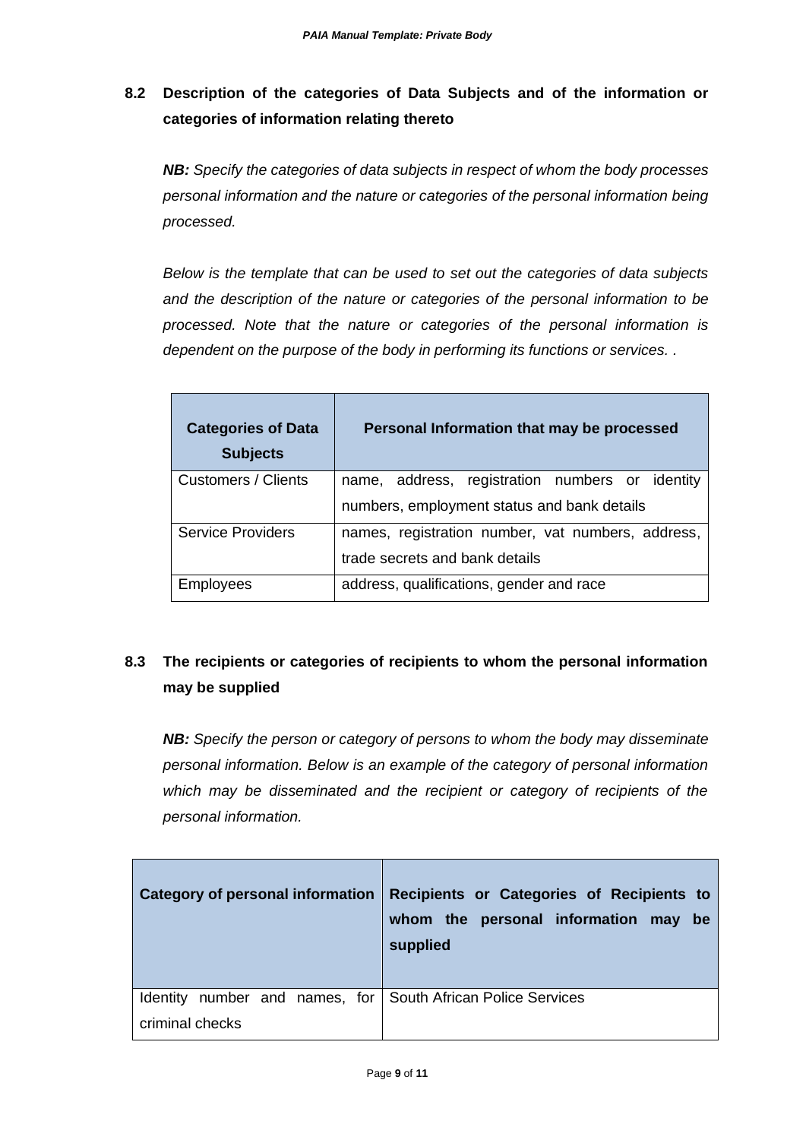# **8.2 Description of the categories of Data Subjects and of the information or categories of information relating thereto**

*NB: Specify the categories of data subjects in respect of whom the body processes personal information and the nature or categories of the personal information being processed.* 

*Below is the template that can be used to set out the categories of data subjects and the description of the nature or categories of the personal information to be processed. Note that the nature or categories of the personal information is dependent on the purpose of the body in performing its functions or services. .* 

| <b>Categories of Data</b><br><b>Subjects</b> | Personal Information that may be processed        |  |
|----------------------------------------------|---------------------------------------------------|--|
| Customers / Clients                          | name, address, registration numbers or identity   |  |
|                                              | numbers, employment status and bank details       |  |
| <b>Service Providers</b>                     | names, registration number, vat numbers, address, |  |
|                                              | trade secrets and bank details                    |  |
| Employees                                    | address, qualifications, gender and race          |  |

# **8.3 The recipients or categories of recipients to whom the personal information may be supplied**

*NB: Specify the person or category of persons to whom the body may disseminate personal information. Below is an example of the category of personal information which may be disseminated and the recipient or category of recipients of the personal information.*

| <b>Category of personal information</b>                      | Recipients or Categories of Recipients to<br>whom the personal information may be<br>supplied |
|--------------------------------------------------------------|-----------------------------------------------------------------------------------------------|
| Identity number and names, for South African Police Services |                                                                                               |
| criminal checks                                              |                                                                                               |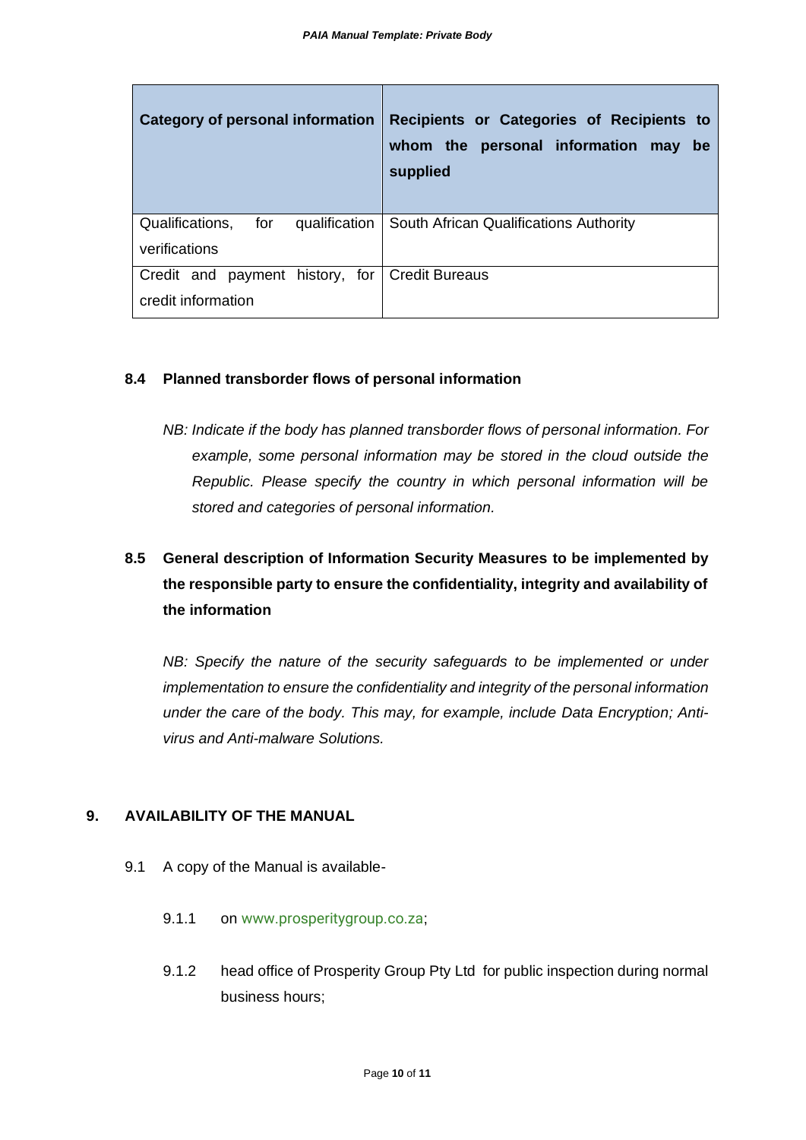| Category of personal information                                     | Recipients or Categories of Recipients to<br>whom the personal information may<br><b>be</b><br>supplied |
|----------------------------------------------------------------------|---------------------------------------------------------------------------------------------------------|
| Qualifications,<br>for<br>qualification<br>verifications             | South African Qualifications Authority                                                                  |
| Credit and payment history, for Credit Bureaus<br>credit information |                                                                                                         |

#### **8.4 Planned transborder flows of personal information**

*NB: Indicate if the body has planned transborder flows of personal information. For*  example, some personal information may be stored in the cloud outside the *Republic. Please specify the country in which personal information will be stored and categories of personal information.* 

# **8.5 General description of Information Security Measures to be implemented by the responsible party to ensure the confidentiality, integrity and availability of the information**

*NB: Specify the nature of the security safeguards to be implemented or under implementation to ensure the confidentiality and integrity of the personal information under the care of the body. This may, for example, include Data Encryption; Antivirus and Anti-malware Solutions.*

#### **9. AVAILABILITY OF THE MANUAL**

- 9.1 A copy of the Manual is available-
	- 9.1.1 on www.prosperitygroup.co.za;
	- 9.1.2 head office of Prosperity Group Pty Ltd for public inspection during normal business hours;